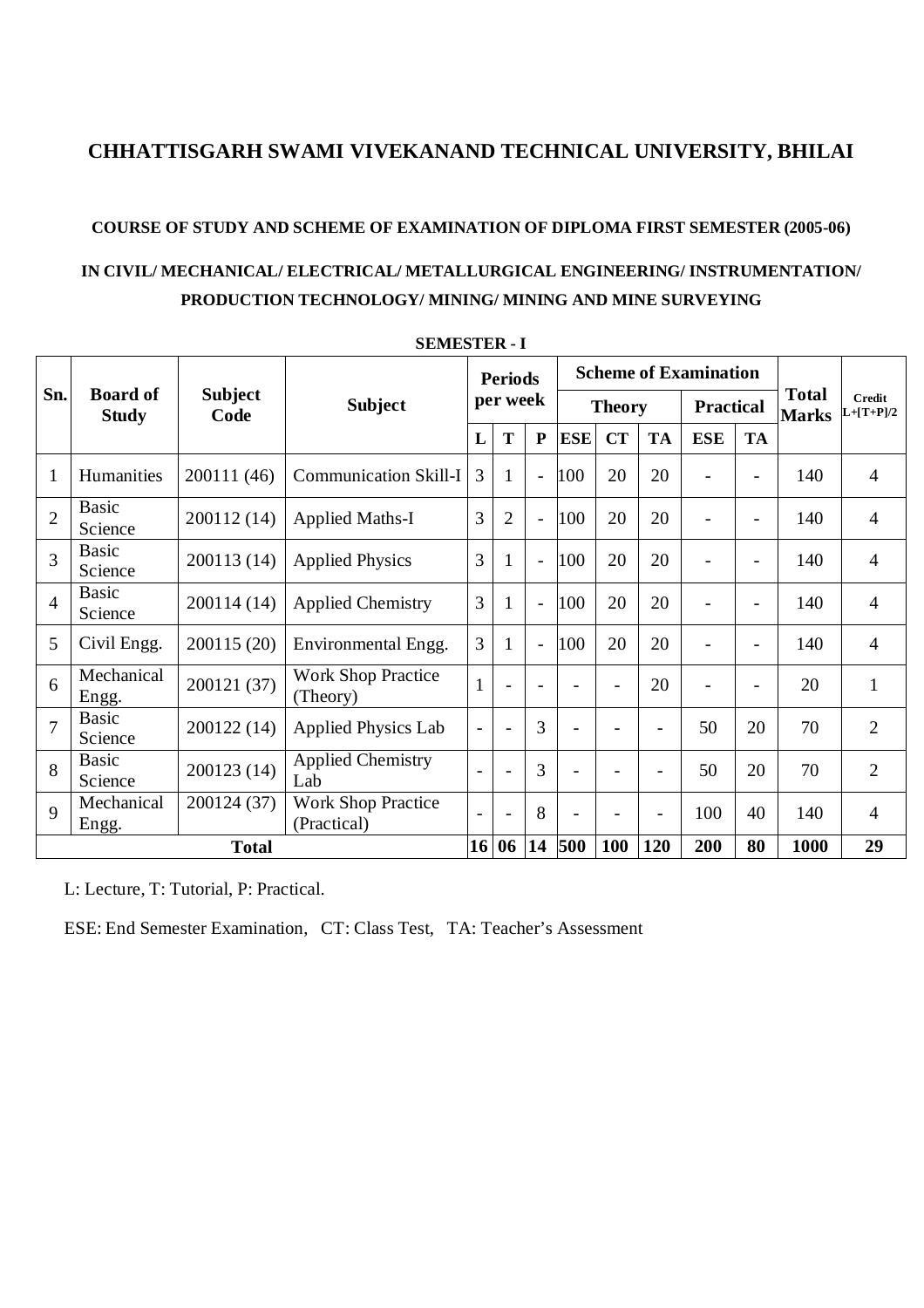#### **COURSE OF STUDY AND SCHEME OF EXAMINATION OF DIPLOMA FIRST SEMESTER (2005-06)**

## **IN CIVIL/ MECHANICAL/ ELECTRICAL/ METALLURGICAL ENGINEERING/ INSTRUMENTATION/ PRODUCTION TECHNOLOGY/ MINING/ MINING AND MINE SURVEYING**

|                |                                 |                        | <b>Subject</b>                           | <b>Periods</b><br>per week |                |                |                          |                          | <b>Scheme of Examination</b> |                          |                          |                              |                              |
|----------------|---------------------------------|------------------------|------------------------------------------|----------------------------|----------------|----------------|--------------------------|--------------------------|------------------------------|--------------------------|--------------------------|------------------------------|------------------------------|
| Sn.            | <b>Board of</b><br><b>Study</b> | <b>Subject</b><br>Code |                                          |                            |                |                |                          | <b>Theory</b>            |                              | <b>Practical</b>         |                          | <b>Total</b><br><b>Marks</b> | <b>Credit</b><br>$L+ T+P /2$ |
|                |                                 |                        |                                          | L                          | T              | ${\bf P}$      | <b>ESE</b>               | CT                       | <b>TA</b>                    | <b>ESE</b>               | <b>TA</b>                |                              |                              |
| $\mathbf{1}$   | Humanities                      | 200111 (46)            | <b>Communication Skill-I</b>             | 3                          | $\mathbf{1}$   | $\overline{a}$ | 100                      | 20                       | 20                           | $\overline{\phantom{a}}$ | $\overline{\phantom{a}}$ | 140                          | $\overline{4}$               |
| $\overline{2}$ | <b>Basic</b><br>Science         | 200112 (14)            | <b>Applied Maths-I</b>                   | $\overline{3}$             | $\overline{2}$ | $\blacksquare$ | 100                      | 20                       | 20                           | $\overline{\phantom{0}}$ |                          | 140                          | $\overline{4}$               |
| 3              | <b>Basic</b><br>Science         | 200113 (14)            | <b>Applied Physics</b>                   | 3                          | 1              | $\blacksquare$ | 100                      | 20                       | 20                           |                          |                          | 140                          | $\overline{4}$               |
| $\overline{4}$ | <b>Basic</b><br>Science         | 200114 (14)            | <b>Applied Chemistry</b>                 | 3                          | 1              | $\overline{a}$ | 100                      | 20                       | 20                           | $\overline{a}$           |                          | 140                          | $\overline{4}$               |
| 5              | Civil Engg.                     | 200115 (20)            | Environmental Engg.                      | 3                          |                | $\blacksquare$ | 100                      | 20                       | 20                           | $\overline{\phantom{0}}$ | $\equiv$                 | 140                          | $\overline{4}$               |
| 6              | Mechanical<br>Engg.             | 200121 (37)            | <b>Work Shop Practice</b><br>(Theory)    | $\mathbf{1}$               | $\sim$         | $\blacksquare$ | $\overline{\phantom{a}}$ | $\overline{\phantom{a}}$ | 20                           | $\overline{\phantom{0}}$ | $\overline{\phantom{a}}$ | 20                           | $\mathbf{1}$                 |
| $\overline{7}$ | <b>Basic</b><br>Science         | 200122 (14)            | <b>Applied Physics Lab</b>               | $\qquad \qquad -$          | $\sim$         | 3              | $\blacksquare$           |                          | $\blacksquare$               | 50                       | 20                       | 70                           | $\overline{2}$               |
| 8              | <b>Basic</b><br>Science         | 200123 (14)            | <b>Applied Chemistry</b><br>Lab          |                            | $\overline{a}$ | 3              | ÷                        |                          | ÷                            | 50                       | 20                       | 70                           | $\overline{2}$               |
| 9              | Mechanical<br>Engg.             | 200124 (37)            | <b>Work Shop Practice</b><br>(Practical) |                            | $\blacksquare$ | 8              |                          |                          | $\overline{\phantom{0}}$     | 100                      | 40                       | 140                          | $\overline{4}$               |
|                | <b>Total</b>                    |                        |                                          | 16                         | 06             | 14             | 500                      | 100                      | 120                          | 200                      | 80                       | 1000                         | 29                           |

**SEMESTER - I**

L: Lecture, T: Tutorial, P: Practical.

ESE: End Semester Examination, CT: Class Test, TA: Teacher's Assessment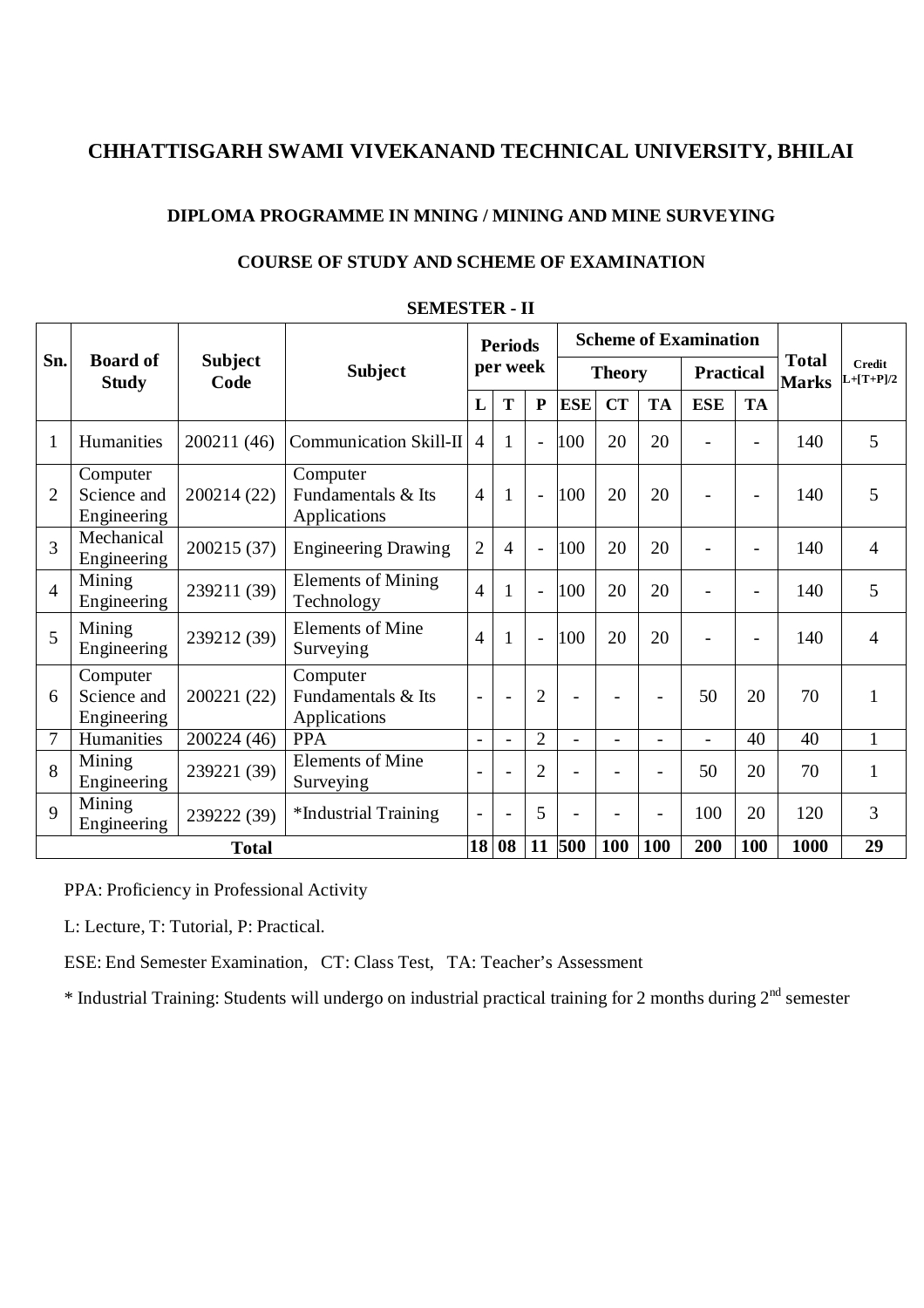#### **DIPLOMA PROGRAMME IN MNING / MINING AND MINE SURVEYING**

|                    |                                        |                        | 91. – ALIVILLO I LA PILI                       |                            |                          |                |                          |                              |                              |                              |                          |      |              |
|--------------------|----------------------------------------|------------------------|------------------------------------------------|----------------------------|--------------------------|----------------|--------------------------|------------------------------|------------------------------|------------------------------|--------------------------|------|--------------|
|                    |                                        |                        | <b>Subject</b>                                 | <b>Periods</b><br>per week |                          |                |                          | <b>Scheme of Examination</b> | <b>Total</b><br><b>Marks</b> | <b>Credit</b><br>$L+ T+P /2$ |                          |      |              |
| Sn.                | <b>Board of</b><br><b>Study</b>        | <b>Subject</b><br>Code |                                                |                            |                          |                | <b>Theory</b>            |                              |                              |                              | <b>Practical</b>         |      |              |
|                    |                                        |                        |                                                | L                          | T                        | ${\bf P}$      | <b>ESE</b>               | CT                           | <b>TA</b>                    | <b>ESE</b>                   | <b>TA</b>                |      |              |
| $\mathbf{1}$       | Humanities                             | 200211 (46)            | <b>Communication Skill-II</b>                  | $\overline{4}$             | 1                        | $\overline{a}$ | 100                      | 20                           | 20                           |                              |                          | 140  | 5            |
| $\overline{2}$     | Computer<br>Science and<br>Engineering | 200214 (22)            | Computer<br>Fundamentals & Its<br>Applications | $\overline{4}$             | $\mathbf{1}$             | $\blacksquare$ | 100                      | 20                           | 20                           |                              | $\overline{\phantom{0}}$ | 140  | 5            |
| 3                  | Mechanical<br>Engineering              | 200215 (37)            | <b>Engineering Drawing</b>                     | $\overline{2}$             | $\overline{4}$           | $\blacksquare$ | 100                      | 20                           | 20                           |                              | $\overline{\phantom{0}}$ | 140  | 4            |
| $\overline{4}$     | Mining<br>Engineering                  | 239211 (39)            | <b>Elements of Mining</b><br>Technology        | $\overline{4}$             |                          | $\overline{a}$ | 100                      | 20                           | 20                           |                              | $\overline{a}$           | 140  | 5            |
| 5                  | Mining<br>Engineering                  | 239212 (39)            | <b>Elements of Mine</b><br>Surveying           | $\overline{4}$             | $\mathbf{1}$             | $\overline{a}$ | 100                      | 20                           | 20                           |                              | ÷                        | 140  | 4            |
| 6                  | Computer<br>Science and<br>Engineering | 200221 (22)            | Computer<br>Fundamentals & Its<br>Applications | $\overline{\phantom{0}}$   | $\blacksquare$           | $\overline{2}$ | $\overline{\phantom{a}}$ |                              |                              | 50                           | 20                       | 70   | 1            |
| $\overline{7}$     | Humanities                             | 200224 (46)            | <b>PPA</b>                                     | $\overline{a}$             | $\blacksquare$           | $\overline{2}$ | $\blacksquare$           | ÷.                           | $\sim$                       | $\blacksquare$               | 40                       | 40   | 1            |
| 8                  | Mining<br>Engineering                  | 239221 (39)            | <b>Elements of Mine</b><br>Surveying           |                            |                          | $\overline{2}$ |                          |                              |                              | 50                           | 20                       | 70   | $\mathbf{1}$ |
| $\mathbf{Q}$       | Mining<br>Engineering                  | 239222 (39)            | *Industrial Training                           |                            | $\overline{\phantom{0}}$ | 5              |                          |                              |                              | 100                          | 20                       | 120  | 3            |
| 18<br><b>Total</b> |                                        |                        |                                                |                            | 08                       | 11             | 500                      | 100                          | 100                          | 200                          | 100                      | 1000 | 29           |

#### **SEMESTER - II**

**COURSE OF STUDY AND SCHEME OF EXAMINATION** 

PPA: Proficiency in Professional Activity

L: Lecture, T: Tutorial, P: Practical.

ESE: End Semester Examination, CT: Class Test, TA: Teacher's Assessment

\* Industrial Training: Students will undergo on industrial practical training for 2 months during  $2<sup>nd</sup>$  semester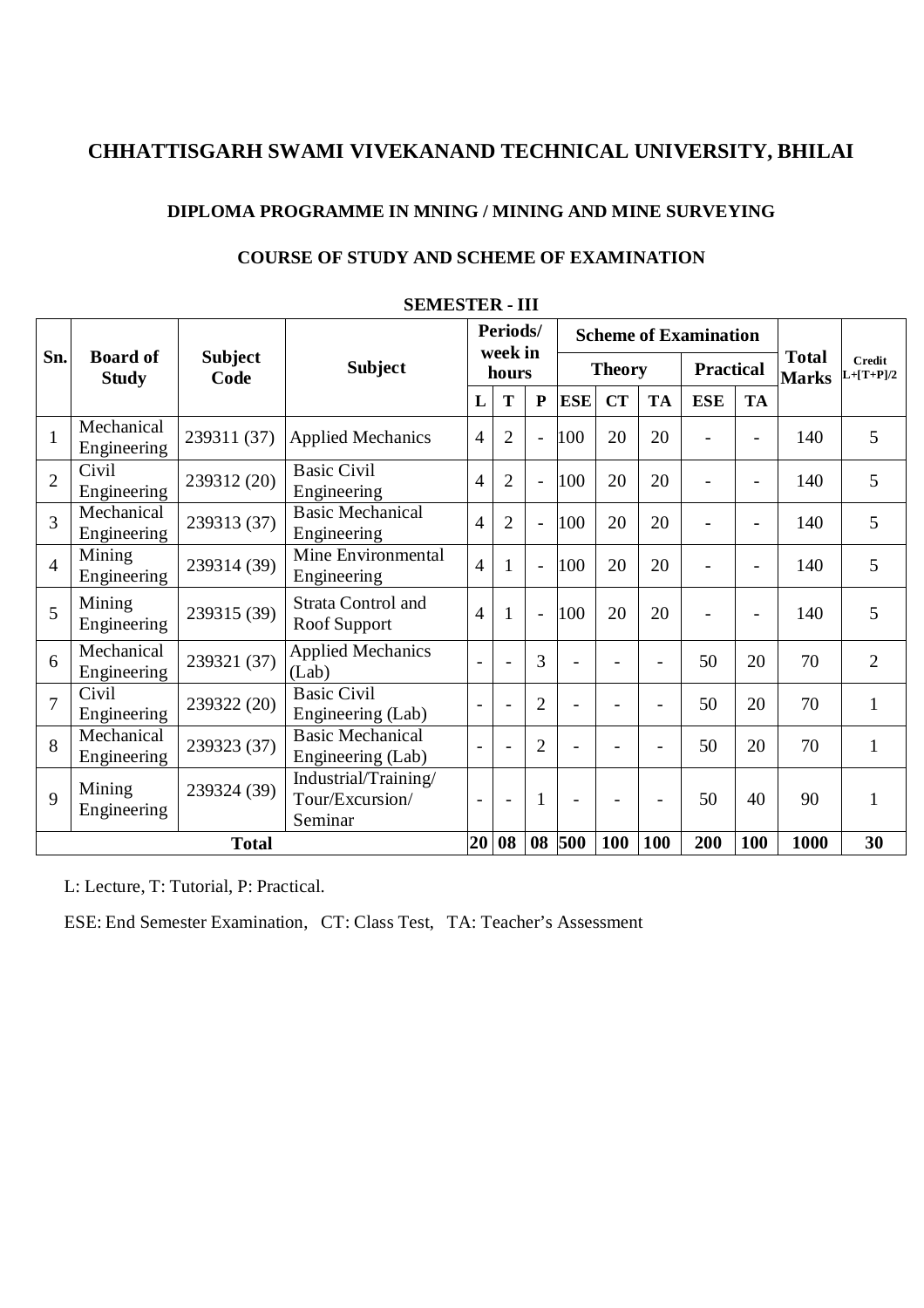#### **DIPLOMA PROGRAMME IN MNING / MINING AND MINE SURVEYING**

|                | <b>SEMESTER - III</b>           |                        |                                                    |                              |                |                          |                              |                              |                              |                  |                          |      |                |
|----------------|---------------------------------|------------------------|----------------------------------------------------|------------------------------|----------------|--------------------------|------------------------------|------------------------------|------------------------------|------------------|--------------------------|------|----------------|
| Sn.            |                                 |                        | <b>Subject</b>                                     | Periods/<br>week in<br>hours |                |                          | <b>Scheme of Examination</b> | <b>Total</b><br><b>Marks</b> | <b>Credit</b><br>$L+[T+P]/2$ |                  |                          |      |                |
|                | <b>Board of</b><br><b>Study</b> | <b>Subject</b><br>Code |                                                    |                              |                | <b>Theory</b>            |                              |                              |                              | <b>Practical</b> |                          |      |                |
|                |                                 |                        |                                                    | L                            | T              | ${\bf P}$                | <b>ESE</b>                   | <b>CT</b>                    | <b>TA</b>                    | <b>ESE</b>       | <b>TA</b>                |      |                |
| $\mathbf{1}$   | Mechanical<br>Engineering       | 239311 (37)            | <b>Applied Mechanics</b>                           | 4                            | $\overline{2}$ | $\overline{a}$           | 100                          | 20                           | 20                           |                  | ÷                        | 140  | 5              |
| $\overline{2}$ | Civil<br>Engineering            | 239312 (20)            | <b>Basic Civil</b><br>Engineering                  | $\overline{4}$               | $\overline{2}$ | $\overline{a}$           | 100                          | 20                           | 20                           |                  | $\overline{\phantom{a}}$ | 140  | 5              |
| $\overline{3}$ | Mechanical<br>Engineering       | 239313 (37)            | <b>Basic Mechanical</b><br>Engineering             | $\overline{4}$               | $\overline{2}$ | $\blacksquare$           | 100                          | 20                           | 20                           |                  | ÷                        | 140  | 5              |
| $\overline{4}$ | Mining<br>Engineering           | 239314 (39)            | Mine Environmental<br>Engineering                  | $\overline{4}$               | 1              | $\blacksquare$           | 100                          | 20                           | 20                           |                  | ÷                        | 140  | 5              |
| 5              | Mining<br>Engineering           | 239315 (39)            | <b>Strata Control and</b><br>Roof Support          | $\overline{4}$               | 1              | $\overline{\phantom{a}}$ | 100                          | 20                           | 20                           |                  | ÷.                       | 140  | 5              |
| 6              | Mechanical<br>Engineering       | 239321 (37)            | <b>Applied Mechanics</b><br>(Lab)                  |                              |                | 3                        | $\overline{a}$               |                              |                              | 50               | 20                       | 70   | $\overline{2}$ |
| $\overline{7}$ | Civil<br>Engineering            | 239322 (20)            | <b>Basic Civil</b><br>Engineering (Lab)            |                              |                | $\overline{2}$           | $\overline{a}$               |                              |                              | 50               | 20                       | 70   | 1              |
| 8              | Mechanical<br>Engineering       | 239323 (37)            | <b>Basic Mechanical</b><br>Engineering (Lab)       |                              |                | $\overline{2}$           | $\overline{\phantom{a}}$     |                              |                              | 50               | 20                       | 70   | $\mathbf{1}$   |
| $\mathbf{Q}$   | Mining<br>Engineering           | 239324 (39)            | Industrial/Training/<br>Tour/Excursion/<br>Seminar | $\overline{\phantom{a}}$     | $\sim$         | $\mathbf{1}$             | $\overline{\phantom{a}}$     |                              |                              | 50               | 40                       | 90   | $\mathbf{1}$   |
|                | <b>Total</b>                    |                        |                                                    | 20                           | 08             | 08                       | 500                          | <b>100</b>                   | 100                          | 200              | 100                      | 1000 | 30             |

### **COURSE OF STUDY AND SCHEME OF EXAMINATION**

L: Lecture, T: Tutorial, P: Practical.

ESE: End Semester Examination, CT: Class Test, TA: Teacher's Assessment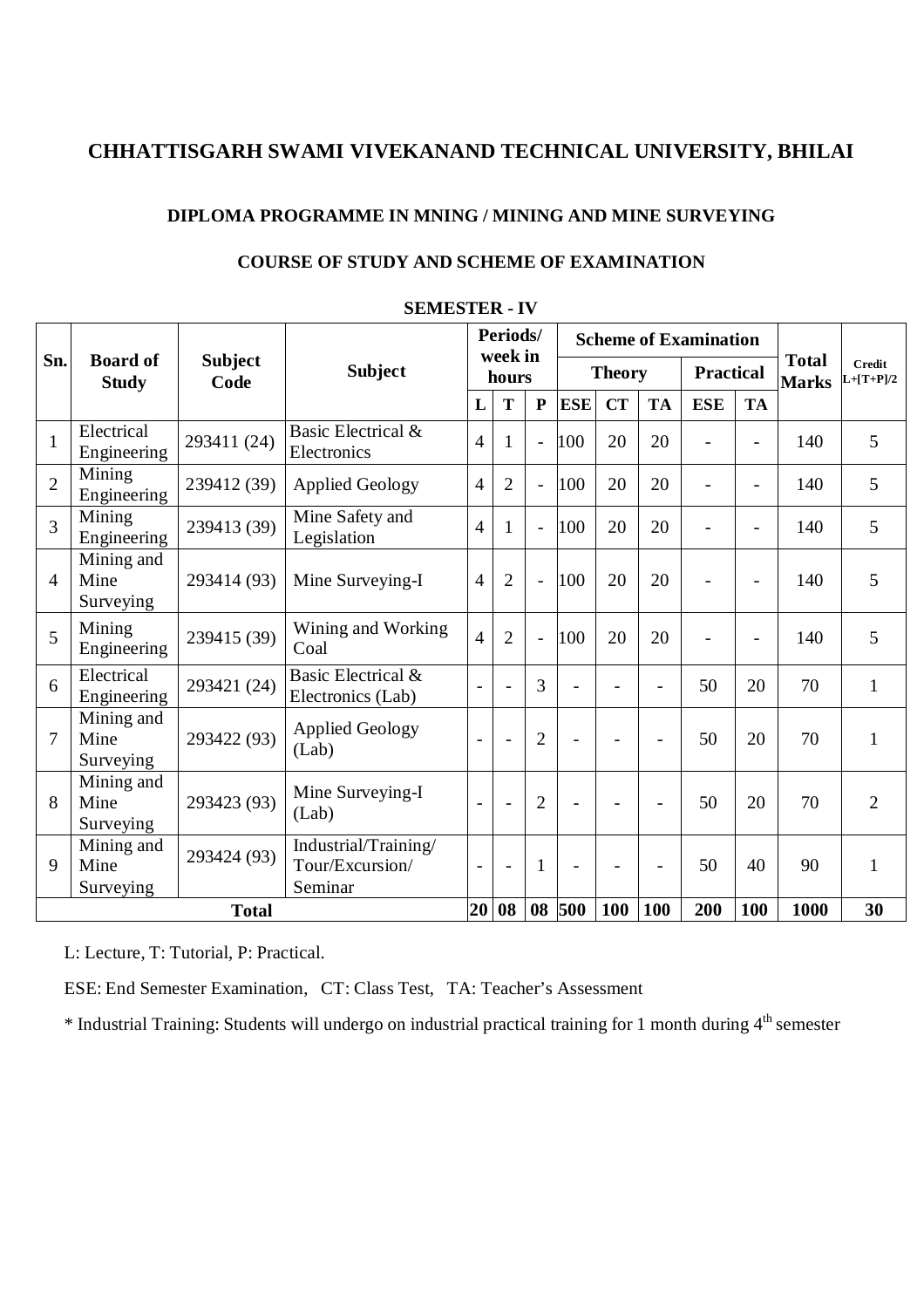#### **DIPLOMA PROGRAMME IN MNING / MINING AND MINE SURVEYING**

|                |                                 |                        | SEMIES I ER - I V                                  |                              |                      |                |                |                              |                              |                              |                          |      |                |
|----------------|---------------------------------|------------------------|----------------------------------------------------|------------------------------|----------------------|----------------|----------------|------------------------------|------------------------------|------------------------------|--------------------------|------|----------------|
|                |                                 |                        | <b>Subject</b>                                     | Periods/<br>week in<br>hours |                      |                |                | <b>Scheme of Examination</b> | <b>Total</b><br><b>Marks</b> | <b>Credit</b><br>$L+ T+P /2$ |                          |      |                |
| Sn.            | <b>Board of</b><br><b>Study</b> | <b>Subject</b><br>Code |                                                    |                              |                      |                | <b>Theory</b>  |                              |                              |                              | <b>Practical</b>         |      |                |
|                |                                 |                        |                                                    | L                            | T                    | ${\bf P}$      | <b>ESE</b>     | <b>CT</b>                    | <b>TA</b>                    | <b>ESE</b>                   | <b>TA</b>                |      |                |
| $\mathbf{1}$   | Electrical<br>Engineering       | 293411 (24)            | Basic Electrical &<br>Electronics                  | $\overline{4}$               | 1                    | $\overline{a}$ | 100            | 20                           | 20                           |                              |                          | 140  | 5              |
| $\overline{2}$ | Mining<br>Engineering           | 239412 (39)            | <b>Applied Geology</b>                             | $\overline{4}$               | $\overline{2}$       | $\overline{a}$ | 100            | 20                           | 20                           | $\sim$                       | $\overline{\phantom{a}}$ | 140  | 5              |
| $\overline{3}$ | Mining<br>Engineering           | 239413 (39)            | Mine Safety and<br>Legislation                     | $\overline{4}$               | 1                    | $\overline{a}$ | 100            | 20                           | 20                           | $\sim$                       | $\blacksquare$           | 140  | 5              |
| $\overline{4}$ | Mining and<br>Mine<br>Surveying | 293414 (93)            | Mine Surveying-I                                   | $\overline{4}$               | $\overline{2}$       | $\overline{a}$ | 100            | 20                           | 20                           |                              | L.                       | 140  | 5              |
| 5              | Mining<br>Engineering           | 239415 (39)            | Wining and Working<br>Coal                         | $\overline{4}$               | $\overline{2}$       | $\overline{a}$ | 100            | 20                           | 20                           | $\sim$                       | $\blacksquare$           | 140  | 5              |
| 6              | Electrical<br>Engineering       | 293421 (24)            | Basic Electrical &<br>Electronics (Lab)            |                              | ÷                    | 3              |                |                              |                              | 50                           | 20                       | 70   | $\mathbf{1}$   |
| $\overline{7}$ | Mining and<br>Mine<br>Surveying | 293422 (93)            | <b>Applied Geology</b><br>(Lab)                    | $\overline{a}$               | $\ddot{\phantom{1}}$ | $\overline{2}$ | $\mathbf{r}$   |                              |                              | 50                           | 20                       | 70   | $\mathbf{1}$   |
| 8              | Mining and<br>Mine<br>Surveying | 293423 (93)            | Mine Surveying-I<br>(Lab)                          | $\overline{a}$               | $\overline{a}$       | $\overline{2}$ | $\blacksquare$ |                              |                              | 50                           | 20                       | 70   | $\overline{2}$ |
| 9              | Mining and<br>Mine<br>Surveying | 293424 (93)            | Industrial/Training/<br>Tour/Excursion/<br>Seminar | $\overline{a}$               | $\overline{a}$       | $\mathbf{1}$   | $\overline{a}$ |                              |                              | 50                           | 40                       | 90   | $\mathbf{1}$   |
|                | <b>Total</b>                    |                        |                                                    | 20                           | 08                   | 08             | 500            | <b>100</b>                   | 100                          | 200                          | 100                      | 1000 | 30             |
|                |                                 |                        |                                                    |                              |                      |                |                |                              |                              |                              |                          |      |                |

### **COURSE OF STUDY AND SCHEME OF EXAMINATION**

**SEMESTER - IV**

L: Lecture, T: Tutorial, P: Practical.

ESE: End Semester Examination, CT: Class Test, TA: Teacher's Assessment

\* Industrial Training: Students will undergo on industrial practical training for 1 month during 4th semester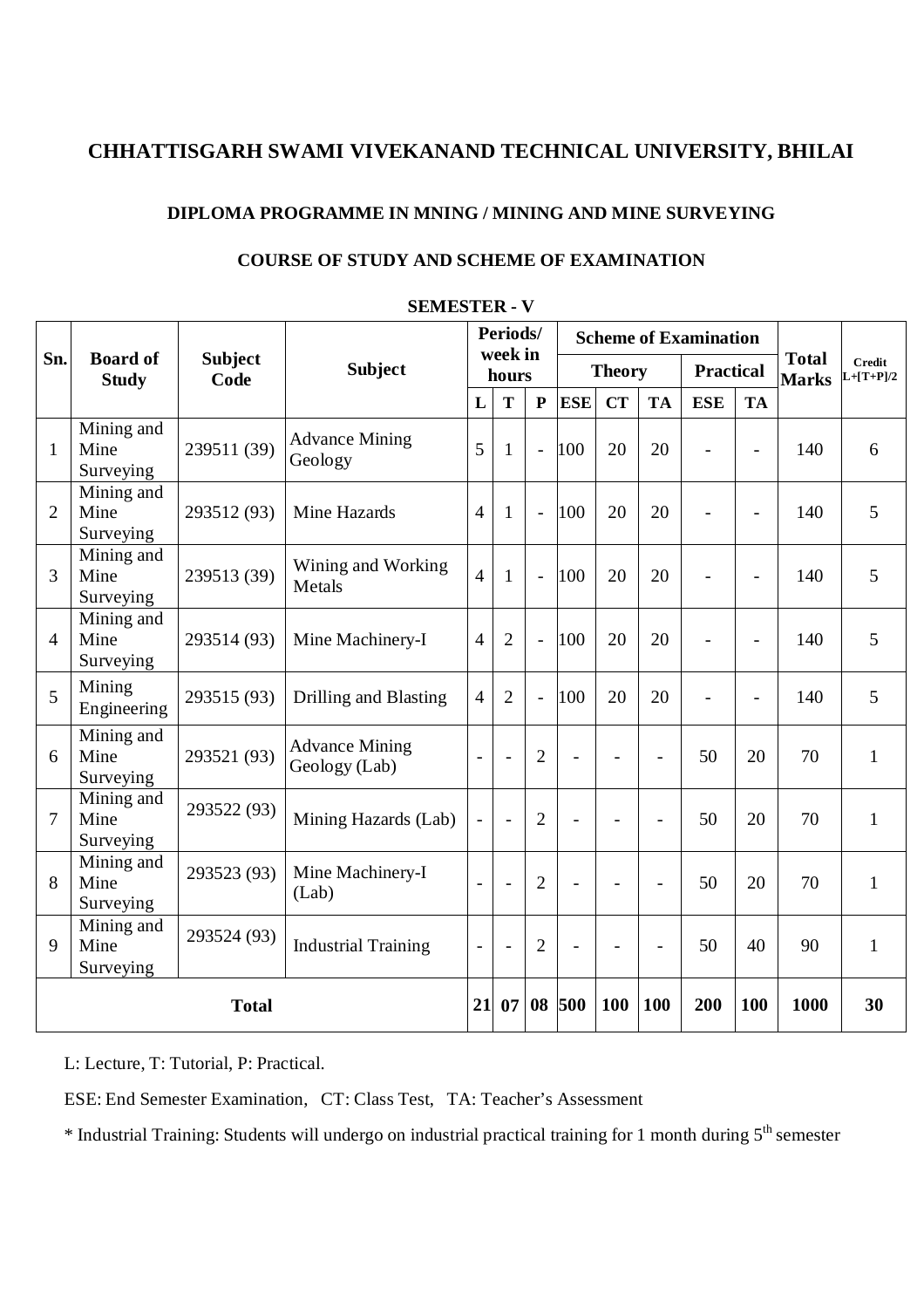### **DIPLOMA PROGRAMME IN MNING / MINING AND MINE SURVEYING**

|                | <b>SEMESTER - V</b>             |                        |                                        |                              |                |                |                |           |                              |                          |                          |                              |                       |
|----------------|---------------------------------|------------------------|----------------------------------------|------------------------------|----------------|----------------|----------------|-----------|------------------------------|--------------------------|--------------------------|------------------------------|-----------------------|
|                |                                 |                        | <b>Subject</b>                         | Periods/<br>week in<br>hours |                |                |                |           | <b>Scheme of Examination</b> |                          |                          |                              |                       |
| Sn.            | <b>Board of</b><br><b>Study</b> | <b>Subject</b><br>Code |                                        |                              |                |                | <b>Theory</b>  |           |                              | <b>Practical</b>         |                          | <b>Total</b><br><b>Marks</b> | Credit<br>$L+ T+P /2$ |
|                |                                 |                        |                                        | L                            | T              | $\overline{P}$ | <b>ESE</b>     | <b>CT</b> | <b>TA</b>                    | <b>ESE</b>               | <b>TA</b>                |                              |                       |
| $\mathbf{1}$   | Mining and<br>Mine<br>Surveying | 239511 (39)            | <b>Advance Mining</b><br>Geology       | 5                            | $\mathbf{1}$   | $\overline{a}$ | 100            | 20        | 20                           |                          |                          | 140                          | 6                     |
| $\overline{2}$ | Mining and<br>Mine<br>Surveying | 293512 (93)            | Mine Hazards                           | $\overline{4}$               | $\mathbf{1}$   | $\overline{a}$ | 100            | 20        | 20                           | $\blacksquare$           | $\overline{\phantom{a}}$ | 140                          | 5                     |
| 3              | Mining and<br>Mine<br>Surveying | 239513 (39)            | Wining and Working<br>Metals           | $\overline{4}$               | $\mathbf{1}$   | $\overline{a}$ | 100            | 20        | 20                           |                          | $\overline{a}$           | 140                          | 5                     |
| $\overline{4}$ | Mining and<br>Mine<br>Surveying | 293514 (93)            | Mine Machinery-I                       | $\overline{4}$               | $\overline{2}$ | $\overline{a}$ | 100            | 20        | 20                           | $\overline{\phantom{0}}$ | $\overline{\phantom{0}}$ | 140                          | 5                     |
| 5              | Mining<br>Engineering           | 293515 (93)            | Drilling and Blasting                  | $\overline{4}$               | $\overline{2}$ | $\overline{a}$ | 100            | 20        | 20                           | $\blacksquare$           | $\overline{\phantom{0}}$ | 140                          | 5                     |
| 6              | Mining and<br>Mine<br>Surveying | 293521 (93)            | <b>Advance Mining</b><br>Geology (Lab) | $\blacksquare$               | ÷,             | $\overline{2}$ | $\overline{a}$ | ÷.        | $\overline{\phantom{a}}$     | 50                       | 20                       | 70                           | $\mathbf{1}$          |
| $\overline{7}$ | Mining and<br>Mine<br>Surveying | 293522 (93)            | Mining Hazards (Lab)                   | $\overline{a}$               | ÷,             | $\overline{2}$ | $\blacksquare$ |           |                              | 50                       | 20                       | 70                           | $\mathbf{1}$          |
| 8              | Mining and<br>Mine<br>Surveying | 293523 (93)            | Mine Machinery-I<br>(Lab)              | $\overline{a}$               | $\overline{a}$ | $\overline{2}$ | $\overline{a}$ |           | $\overline{a}$               | 50                       | 20                       | 70                           | $\mathbf{1}$          |
| 9              | Mining and<br>Mine<br>Surveying | 293524 (93)            | <b>Industrial Training</b>             | $\blacksquare$               | $\overline{a}$ | $\overline{2}$ | $\overline{a}$ |           |                              | 50                       | 40                       | 90                           | $\mathbf{1}$          |
|                |                                 | <b>Total</b>           |                                        | 21                           | 07             | 08             | 500            | 100       | 100                          | 200                      | 100                      | 1000                         | 30                    |

### **COURSE OF STUDY AND SCHEME OF EXAMINATION**

L: Lecture, T: Tutorial, P: Practical.

ESE: End Semester Examination, CT: Class Test, TA: Teacher's Assessment

\* Industrial Training: Students will undergo on industrial practical training for 1 month during 5<sup>th</sup> semester